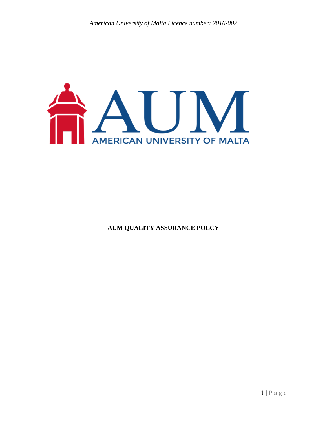

**AUM QUALITY ASSURANCE POLCY**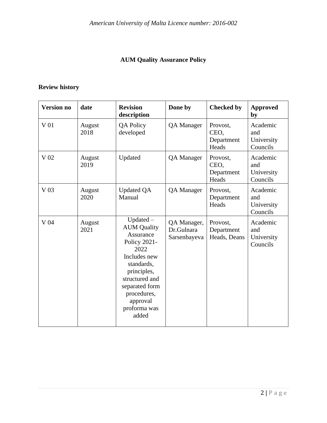# **AUM Quality Assurance Policy**

# **Review history**

| <b>Version no</b> | date           | <b>Revision</b><br>description                                                                                                                                                                              | Done by                                   | <b>Checked by</b>                       | <b>Approved</b><br>by                     |
|-------------------|----------------|-------------------------------------------------------------------------------------------------------------------------------------------------------------------------------------------------------------|-------------------------------------------|-----------------------------------------|-------------------------------------------|
| V 01              | August<br>2018 | <b>QA Policy</b><br>developed                                                                                                                                                                               | <b>QA</b> Manager                         | Provost,<br>CEO,<br>Department<br>Heads | Academic<br>and<br>University<br>Councils |
| V 02              | August<br>2019 | Updated                                                                                                                                                                                                     | <b>QA</b> Manager                         | Provost,<br>CEO,<br>Department<br>Heads | Academic<br>and<br>University<br>Councils |
| V <sub>03</sub>   | August<br>2020 | <b>Updated QA</b><br>Manual                                                                                                                                                                                 | <b>QA</b> Manager                         | Provost,<br>Department<br>Heads         | Academic<br>and<br>University<br>Councils |
| V 04              | August<br>2021 | $Updated -$<br><b>AUM Quality</b><br>Assurance<br>Policy 2021-<br>2022<br>Includes new<br>standards,<br>principles,<br>structured and<br>separated form<br>procedures,<br>approval<br>proforma was<br>added | QA Manager,<br>Dr.Gulnara<br>Sarsenbayeva | Provost,<br>Department<br>Heads, Deans  | Academic<br>and<br>University<br>Councils |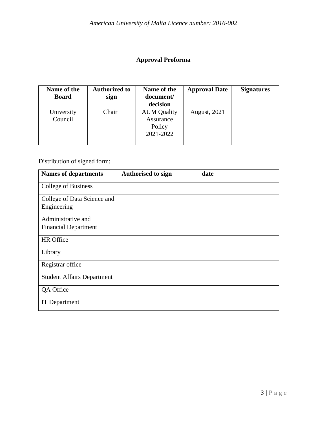# **Approval Proforma**

| Name of the  | <b>Authorized to</b> | Name of the        | <b>Approval Date</b> | <b>Signatures</b> |
|--------------|----------------------|--------------------|----------------------|-------------------|
| <b>Board</b> | sign                 | document/          |                      |                   |
|              |                      | decision           |                      |                   |
| University   | Chair                | <b>AUM Quality</b> | <b>August</b> , 2021 |                   |
| Council      |                      | Assurance          |                      |                   |
|              |                      | Policy             |                      |                   |
|              |                      | 2021-2022          |                      |                   |
|              |                      |                    |                      |                   |

Distribution of signed form:

| <b>Names of departments</b>       | <b>Authorised to sign</b> | date |
|-----------------------------------|---------------------------|------|
| College of Business               |                           |      |
| College of Data Science and       |                           |      |
| Engineering                       |                           |      |
| Administrative and                |                           |      |
| <b>Financial Department</b>       |                           |      |
| HR Office                         |                           |      |
| Library                           |                           |      |
| Registrar office                  |                           |      |
| <b>Student Affairs Department</b> |                           |      |
| QA Office                         |                           |      |
| <b>IT</b> Department              |                           |      |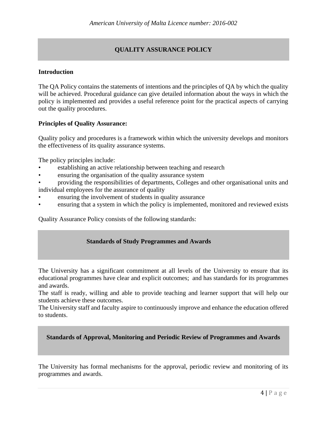# **QUALITY ASSURANCE POLICY**

## **Introduction**

The QA Policy contains the statements of intentions and the principles of QA by which the quality will be achieved. Procedural guidance can give detailed information about the ways in which the policy is implemented and provides a useful reference point for the practical aspects of carrying out the quality procedures.

### **Principles of Quality Assurance:**

Quality policy and procedures is a framework within which the university develops and monitors the effectiveness of its quality assurance systems.

The policy principles include:

- establishing an active relationship between teaching and research
- ensuring the organisation of the quality assurance system
- providing the responsibilities of departments, Colleges and other organisational units and individual employees for the assurance of quality
- ensuring the involvement of students in quality assurance
- ensuring that a system in which the policy is implemented, monitored and reviewed exists

Quality Assurance Policy consists of the following standards:

### **Standards of Study Programmes and Awards**

The University has a significant commitment at all levels of the University to ensure that its educational programmes have clear and explicit outcomes; and has standards for its programmes and awards.

The staff is ready, willing and able to provide teaching and learner support that will help our students achieve these outcomes.

The University staff and faculty aspire to continuously improve and enhance the education offered to students.

### **Standards of Approval, Monitoring and Periodic Review of Programmes and Awards**

The University has formal mechanisms for the approval, periodic review and monitoring of its programmes and awards.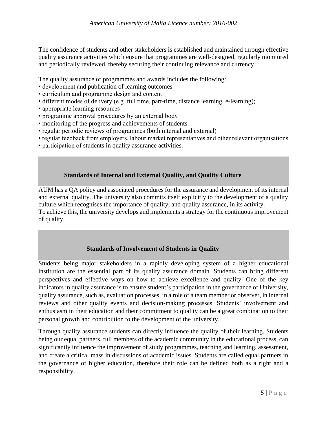The confidence of students and other stakeholders is established and maintained through effective quality assurance activities which ensure that programmes are well-designed, regularly monitored and periodically reviewed, thereby securing their continuing relevance and currency.

The quality assurance of programmes and awards includes the following:

- development and publication of learning outcomes
- curriculum and programme design and content
- different modes of delivery (e.g. full time, part-time, distance learning, e-learning);
- appropriate learning resources
- programme approval procedures by an external body
- monitoring of the progress and achievements of students
- regular periodic reviews of programmes (both internal and external)
- regular feedback from employers, labour market representatives and other relevant organisations
- participation of students in quality assurance activities.

# **Standards of Internal and External Quality, and Quality Culture**

AUM has a QA policy and associated procedures for the assurance and development of its internal and external quality. The university also commits itself explicitly to the development of a quality culture which recognises the importance of quality, and quality assurance, in its activity. To achieve this, the university develops and implements a strategy for the continuous improvement of quality.

### **Standards of Involvement of Students in Quality**

Students being major stakeholders in a rapidly developing system of a higher educational institution are the essential part of its quality assurance domain. Students can bring different perspectives and effective ways on how to achieve excellence and quality. One of the key indicators in quality assurance is to ensure student's participation in the governance of University, quality assurance, such as, evaluation processes, in a role of a team member or observer, in internal reviews and other quality events and decision-making processes. Students' involvement and enthusiasm in their education and their commitment to quality can be a great combination to their personal growth and contribution to the development of the university.

Through quality assurance students can directly influence the quality of their learning. Students being our equal partners, full members of the academic community in the educational process, can significantly influence the improvement of study programmes, teaching and learning, assessment, and create a critical mass in discussions of academic issues. Students are called equal partners in the governance of higher education, therefore their role can be defined both as a right and a responsibility.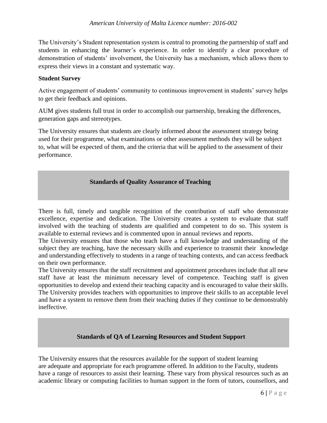The University's Student representation system is central to promoting the partnership of staff and students in enhancing the learner's experience. In order to identify a clear procedure of demonstration of students' involvement, the University has a mechanism, which allows them to express their views in a constant and systematic way.

# **Student Survey**

Active engagement of students' community to continuous improvement in students' survey helps to get their feedback and opinions.

AUM gives students full trust in order to accomplish our partnership, breaking the differences, generation gaps and stereotypes.

The University ensures that students are clearly informed about the assessment strategy being used for their programme, what examinations or other assessment methods they will be subject to, what will be expected of them, and the criteria that will be applied to the assessment of their performance.

# **Standards of Quality Assurance of Teaching**

There is full, timely and tangible recognition of the contribution of staff who demonstrate excellence, expertise and dedication. The University creates a system to evaluate that staff involved with the teaching of students are qualified and competent to do so. This system is available to external reviews and is commented upon in annual reviews and reports.

The University ensures that those who teach have a full knowledge and understanding of the subject they are teaching, have the necessary skills and experience to transmit their knowledge and understanding effectively to students in a range of teaching contexts, and can access feedback on their own performance.

The University ensures that the staff recruitment and appointment procedures include that all new staff have at least the minimum necessary level of competence. Teaching staff is given opportunities to develop and extend their teaching capacity and is encouraged to value their skills. The University provides teachers with opportunities to improve their skills to an acceptable level and have a system to remove them from their teaching duties if they continue to be demonstrably ineffective.

# **Standards of QA of Learning Resources and Student Support**

The University ensures that the resources available for the support of student learning are adequate and appropriate for each programme offered. In addition to the Faculty, students have a range of resources to assist their learning. These vary from physical resources such as an academic library or computing facilities to human support in the form of tutors, counsellors, and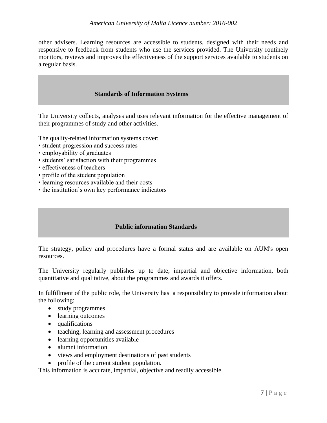other advisers. Learning resources are accessible to students, designed with their needs and responsive to feedback from students who use the services provided. The University routinely monitors, reviews and improves the effectiveness of the support services available to students on a regular basis.

# **Standards of Information Systems**

The University collects, analyses and uses relevant information for the effective management of their programmes of study and other activities.

The quality-related information systems cover:

- student progression and success rates
- employability of graduates
- students' satisfaction with their programmes
- effectiveness of teachers
- profile of the student population
- learning resources available and their costs
- the institution's own key performance indicators

### **Public information Standards**

The strategy, policy and procedures have a formal status and are available on AUM's open resources.

The University regularly publishes up to date, impartial and objective information, both quantitative and qualitative, about the programmes and awards it offers.

In fulfillment of the public role, the University has a responsibility to provide information about the following:

- study programmes
- learning outcomes
- qualifications
- teaching, learning and assessment procedures
- learning opportunities available
- alumni information
- views and employment destinations of past students
- profile of the current student population.

This information is accurate, impartial, objective and readily accessible.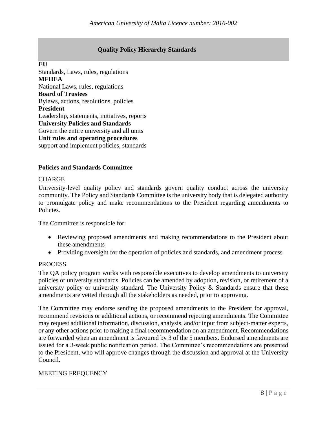# **Quality Policy Hierarchy Standards**

**EU**

Standards, Laws, rules, regulations **MFHEA** National Laws, rules, regulations **Board of Trustees** Bylaws, actions, resolutions, policies **President** Leadership, statements, initiatives, reports **University Policies and Standards** Govern the entire university and all units **Unit rules and operating procedures** support and implement policies, standards

# **Policies and Standards Committee**

#### **CHARGE**

University-level quality policy and standards govern quality conduct across the university community. The Policy and Standards Committee is the university body that is delegated authority to promulgate policy and make recommendations to the President regarding amendments to Policies.

The Committee is responsible for:

- Reviewing proposed amendments and making recommendations to the President about these amendments
- Providing oversight for the operation of policies and standards, and amendment process

## PROCESS

The QA policy program works with responsible executives to develop amendments to university policies or university standards. Policies can be amended by adoption, revision, or retirement of a university policy or university standard. The University Policy  $\&$  Standards ensure that these amendments are vetted through all the stakeholders as needed, prior to approving.

The Committee may endorse sending the proposed amendments to the President for approval, recommend revisions or additional actions, or recommend rejecting amendments. The Committee may request additional information, discussion, analysis, and/or input from subject-matter experts, or any other actions prior to making a final recommendation on an amendment. Recommendations are forwarded when an amendment is favoured by 3 of the 5 members. Endorsed amendments are issued for a 3-week public notification period. The Committee's recommendations are presented to the President, who will approve changes through the discussion and approval at the University Council.

### MEETING FREQUENCY